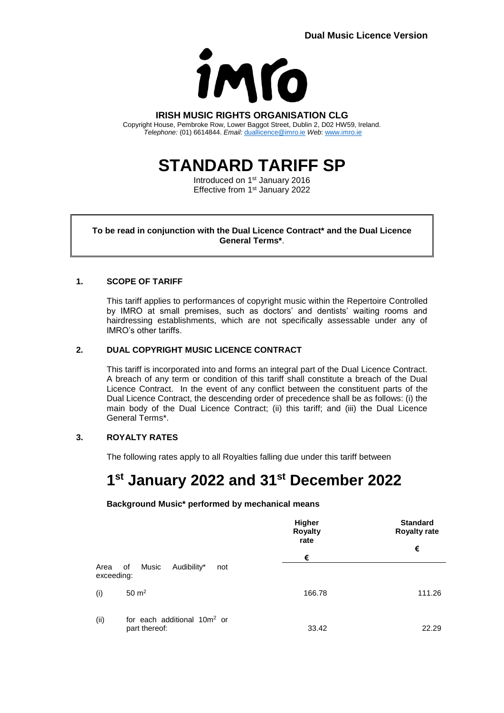

# **IRISH MUSIC RIGHTS ORGANISATION CLG**

Copyright House, Pembroke Row, Lower Baggot Street, Dublin 2, D02 HW59, Ireland. *Telephone:* (01) 6614844. *Email:* [duallicence@imro.ie](mailto:duallicence@imro.ie) *Web*: [www.imro.ie](http://www.imro.ie/)

# **STANDARD TARIFF SP**

Introduced on 1<sup>st</sup> January 2016 Effective from 1<sup>st</sup> January 2022

**To be read in conjunction with the Dual Licence Contract\* and the Dual Licence General Terms\***.

# **1. SCOPE OF TARIFF**

This tariff applies to performances of copyright music within the Repertoire Controlled by IMRO at small premises, such as doctors' and dentists' waiting rooms and hairdressing establishments, which are not specifically assessable under any of IMRO's other tariffs.

# **2. DUAL COPYRIGHT MUSIC LICENCE CONTRACT**

This tariff is incorporated into and forms an integral part of the Dual Licence Contract. A breach of any term or condition of this tariff shall constitute a breach of the Dual Licence Contract. In the event of any conflict between the constituent parts of the Dual Licence Contract, the descending order of precedence shall be as follows: (i) the main body of the Dual Licence Contract; (ii) this tariff; and (iii) the Dual Licence General Terms\*.

# **3. ROYALTY RATES**

The following rates apply to all Royalties falling due under this tariff between

# **1 st January 2022 and 31st December 2022**

**Background Music\* performed by mechanical means**

|                    |                                                          | Higher<br><b>Royalty</b><br>rate<br>€ | <b>Standard</b><br><b>Royalty rate</b><br>€ |
|--------------------|----------------------------------------------------------|---------------------------------------|---------------------------------------------|
|                    |                                                          |                                       |                                             |
| Area<br>exceeding: | Music<br>Audibility*<br>of<br>not                        |                                       |                                             |
| (i)                | $50 \text{ m}^2$                                         | 166.78                                | 111.26                                      |
| (ii)               | for each additional 10m <sup>2</sup> or<br>part thereof: | 33.42                                 | 22.29                                       |